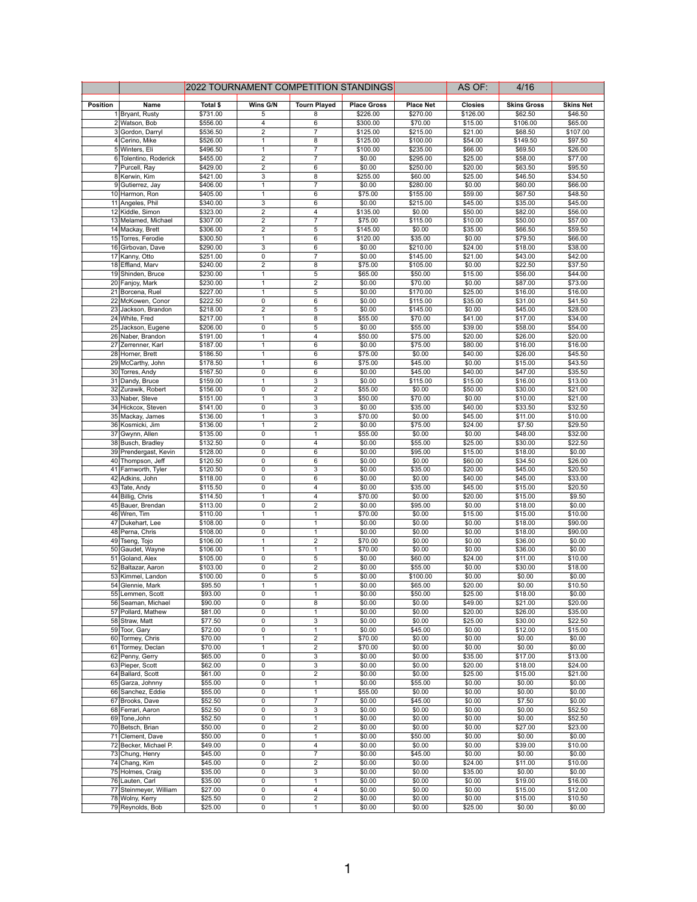|          |                                          | 2022 TOURNAMENT COMPETITION STANDINGS |                                  |                              |                    |                      | AS OF:             | 4/16               |                    |
|----------|------------------------------------------|---------------------------------------|----------------------------------|------------------------------|--------------------|----------------------|--------------------|--------------------|--------------------|
| Position | Name                                     | Total \$                              | Wins G/N                         | <b>Tourn Played</b>          | <b>Place Gross</b> | <b>Place Net</b>     | <b>Closies</b>     | <b>Skins Gross</b> | <b>Skins Net</b>   |
|          | 1 Bryant, Rusty                          | \$731.00                              | 5                                | 8                            | \$226.00           | \$270.00             | \$126.00           | \$62.50            | \$46.50            |
|          | 2 Watson, Bob                            | \$556.00                              | $\overline{4}$                   | $\overline{6}$               | \$300.00           | \$70.00              | \$15.00            | \$106.00           | \$65.00            |
|          | 3 Gordon, Darryl                         | \$536.50                              | $\overline{2}$                   | 7                            | \$125.00           | \$215.00             | \$21.00            | \$68.50            | \$107.00           |
|          | 4 Cerino, Mike                           | \$526.00                              | $\overline{1}$                   | 8                            | \$125.00           | \$100.00             | \$54.00            | \$149.50           | \$97.50            |
|          | 5 Winters, Eli                           | \$496.50                              | $\mathbf{1}$                     | 7                            | \$100.00           | \$235.00             | \$66.00            | \$69.50            | \$26.00            |
|          | 6 Tolentino, Roderick                    | \$455.00                              | $\overline{2}$                   | $\overline{7}$               | \$0.00             | \$295.00             | \$25.00            | \$58.00            | \$77.00            |
|          | 7 Purcell, Ray                           | \$429.00                              | $\overline{2}$                   | 6                            | \$0.00             | \$250.00             | \$20.00            | \$63.50            | \$95.50            |
|          | 8 Kerwin, Kim                            | \$421.00                              | $\overline{\mathbf{3}}$          | 8                            | \$255.00           | \$60.00              | \$25.00            | \$46.50            | \$34.50            |
|          | 9 Gutierrez, Jay                         | \$406.00                              | $\overline{1}$                   | $\overline{7}$<br>6          | \$0.00             | \$280.00             | \$0.00             | \$60.00            | \$66.00            |
|          | 10 Harmon, Ron<br>11 Angeles, Phil       | \$405.00<br>\$340.00                  | $\mathbf{1}$<br>3                | 6                            | \$75.00<br>\$0.00  | \$155.00<br>\$215.00 | \$59.00<br>\$45.00 | \$67.50<br>\$35.00 | \$48.50<br>\$45.00 |
|          | 12 Kiddle, Simon                         | \$323.00                              | $\overline{2}$                   | 4                            | \$135.00           | \$0.00               | \$50.00            | \$82.00            | \$56.00            |
|          | 13 Melamed, Michael                      | \$307.00                              | $\overline{2}$                   | 7                            | \$75.00            | \$115.00             | \$10.00            | \$50.00            | \$57.00            |
|          | 14 Mackay, Brett                         | \$306.00                              | $\overline{2}$                   | 5                            | \$145.00           | \$0.00               | \$35.00            | \$66.50            | \$59.50            |
|          | 15 Torres, Ferodie                       | \$300.50                              | $\mathbf{1}$                     | 6                            | \$120.00           | \$35.00              | \$0.00             | \$79.50            | \$66.00            |
|          | 16 Girbovan, Dave                        | \$290.00                              | 3                                | 6                            | \$0.00             | \$210.00             | \$24.00            | \$18.00            | \$38.00            |
|          | 17 Kanny, Otto                           | \$251.00                              | $\overline{0}$                   | $\overline{7}$               | \$0.00             | \$145.00             | \$21.00            | \$43.00            | \$42.00            |
|          | 18 Effland, Marv                         | \$240.00                              | $\overline{2}$                   | 8                            | \$75.00            | \$105.00             | \$0.00             | \$22.50            | \$37.50            |
|          | 19 Shinden, Bruce                        | \$230.00                              | $\overline{1}$                   | 5                            | \$65.00            | \$50.00              | \$15.00            | \$56.00            | \$44.00            |
|          | 20 Fanjoy, Mark                          | \$230.00                              | $\overline{1}$                   | $\overline{\mathbf{c}}$      | \$0.00             | \$70.00              | \$0.00             | \$87.00            | \$73.00            |
|          | 21 Borcena, Ruel                         | \$227.00                              | $\mathbf{1}$                     | 5                            | \$0.00             | \$170.00             | \$25.00            | \$16.00            | \$16.00            |
|          | 22 McKowen, Conor<br>23 Jackson, Brandon | \$222.50<br>\$218.00                  | 0<br>$\overline{2}$              | 6<br>5                       | \$0.00<br>\$0.00   | \$115.00<br>\$145.00 | \$35.00<br>\$0.00  | \$31.00<br>\$45.00 | \$41.50<br>\$28.00 |
|          | 24 White, Fred                           | \$217.00                              | $\overline{1}$                   | $\overline{8}$               | \$55.00            | \$70.00              | \$41.00            | \$17.00            | \$34.00            |
|          | 25 Jackson, Eugene                       | \$206.00                              | $\overline{0}$                   | 5                            | \$0.00             | \$55.00              | \$39.00            | \$58.00            | \$54.00            |
|          | 26 Naber, Brandon                        | \$191.00                              | $\mathbf{1}$                     | $\overline{\mathbf{4}}$      | \$50.00            | \$75.00              | \$20.00            | \$26.00            | \$20.00            |
|          | 27 Zerrenner, Karl                       | \$187.00                              | $\mathbf{1}$                     | 6                            | \$0.00             | \$75.00              | \$80.00            | \$16.00            | \$16.00            |
|          | 28 Horner, Brett                         | \$186.50                              | $\mathbf{1}$                     | 6                            | \$75.00            | \$0.00               | \$40.00            | \$26.00            | \$45.50            |
|          | 29 McCarthy, John                        | \$178.50                              | $\overline{1}$                   | $\overline{6}$               | \$75.00            | \$45.00              | \$0.00             | \$15.00            | \$43.50            |
|          | 30 Torres, Andy                          | \$167.50                              | $\overline{0}$                   | $6\overline{6}$              | \$0.00             | \$45.00              | \$40.00            | \$47.00            | \$35.50            |
|          | 31 Dandy, Bruce                          | \$159.00                              | $\overline{1}$                   | 3                            | \$0.00             | \$115.00             | \$15.00            | \$16.00            | \$13.00            |
|          | 32 Zurawik, Robert                       | \$156.00                              | 0                                | $\overline{2}$               | \$55.00            | \$0.00               | \$50.00            | \$30.00            | \$21.00            |
|          | 33 Naber, Steve                          | \$151.00                              | $\mathbf{1}$                     | 3                            | \$50.00            | \$70.00              | \$0.00             | \$10.00            | \$21.00            |
|          | 34 Hickcox, Steven                       | \$141.00                              | $\overline{0}$                   | 3                            | \$0.00             | \$35.00              | \$40.00            | \$33.50            | \$32.50            |
|          | 35 Mackay, James                         | \$136.00                              | $\overline{1}$                   | 3                            | \$70.00            | \$0.00               | \$45.00            | \$11.00            | \$10.00            |
|          | 36 Kosmicki, Jim                         | \$136.00                              | $\overline{1}$<br>$\pmb{0}$      | $\overline{2}$               | \$0.00             | \$75.00<br>\$0.00    | \$24.00            | \$7.50<br>\$48.00  | \$29.50            |
|          | 37 Gwynn, Allen<br>38 Busch, Bradley     | \$135.00<br>\$132.50                  | 0                                | 1<br>4                       | \$55.00<br>\$0.00  | \$55.00              | \$0.00<br>\$25.00  | \$30.00            | \$32.00<br>\$22.50 |
|          | 39 Prendergast, Kevin                    | \$128.00                              | 0                                | 6                            | \$0.00             | \$95.00              | \$15.00            | \$18.00            | \$0.00             |
|          | 40 Thompson, Jeff                        | \$120.50                              | $\overline{0}$                   | $\overline{6}$               | \$0.00             | \$0.00               | \$60.00            | \$34.50            | \$26.00            |
|          | 41 Farnworth, Tyler                      | \$120.50                              | $\overline{0}$                   | 3                            | \$0.00             | \$35.00              | \$20.00            | \$45.00            | \$20.50            |
|          | 42 Adkins, John                          | \$118.00                              | $\mathbf 0$                      | $6\phantom{1}6$              | \$0.00             | \$0.00               | \$40.00            | \$45.00            | \$33.00            |
|          | 43 Tate, Andy                            | \$115.50                              | 0                                | 4                            | \$0.00             | \$35.00              | \$45.00            | \$15.00            | \$20.50            |
|          | 44 Billig, Chris                         | \$114.50                              | $\mathbf{1}$                     | 4                            | \$70.00            | \$0.00               | \$20.00            | \$15.00            | \$9.50             |
|          | 45 Bauer, Brendan                        | \$113.00                              | $\overline{0}$                   | $\overline{2}$               | \$0.00             | \$95.00              | \$0.00             | \$18.00            | \$0.00             |
|          | 46 Wren, Tim                             | \$110.00                              | $\overline{1}$                   | $\overline{1}$               | \$70.00            | \$0.00               | \$15.00            | \$15.00            | \$10.00            |
|          | 47 Dukehart, Lee                         | \$108.00                              | $\overline{0}$                   | 1                            | \$0.00             | \$0.00               | \$0.00             | \$18.00            | \$90.00            |
|          | 48 Perna, Chris                          | \$108.00                              | 0                                | 1                            | \$0.00             | \$0.00               | \$0.00             | \$18.00            | \$90.00            |
|          | 49 Tseng, Tojo                           | \$106.00<br>\$106.00                  | $\mathbf{1}$<br>$\mathbf{1}$     | $\overline{2}$<br>1          | \$70.00<br>\$70.00 | \$0.00<br>\$0.00     | \$0.00<br>\$0.00   | \$36.00<br>\$36.00 | \$0.00<br>\$0.00   |
|          | 50 Gaudet, Wayne<br>51 Goland, Alex      | \$105.00                              | $\overline{\mathfrak{o}}$        | $\overline{5}$               | \$0.00             | \$60.00              | \$24.00            | \$11.00            | \$10.00            |
|          | 52 Baltazar, Aaron                       | \$103.00                              | $\overline{0}$                   | $\overline{2}$               | \$0.00             | \$55.00              | \$0.00             | \$30.00            | \$18.00            |
|          | 53 Kimmel, Landon                        | \$100.00                              | 0                                | 5                            | \$0.00             | \$100.00             | \$0.00             | \$0.00             | \$0.00             |
|          | 54 Glennie, Mark                         | \$95.50                               | $\mathbf{1}$                     | 1                            | \$0.00             | \$65.00              | \$20.00            | \$0.00             | \$10.50            |
|          | 55 Lemmen, Scott                         | \$93.00                               | 0                                | 1                            | \$0.00             | \$50.00              | \$25.00            | \$18.00            | \$0.00             |
|          | 56 Seaman, Michael                       | \$90.00                               | $\overline{0}$                   | 8                            | \$0.00             | \$0.00               | \$49.00            | \$21.00            | \$20.00            |
|          | 57 Pollard, Mathew                       | \$81.00                               | 0                                | 1                            | \$0.00             | \$0.00               | \$20.00            | \$26.00            | \$35.00            |
|          | 58 Straw, Matt                           | \$77.50                               | $\pmb{0}$                        | 3                            | \$0.00             | \$0.00               | \$25.00            | \$30.00            | \$22.50            |
|          | 59 Toor, Gary                            | \$72.00                               | 0                                | $\mathbf{1}$                 | \$0.00             | \$45.00              | \$0.00             | \$12.00            | \$15.00            |
|          | 60 Tormey, Chris                         | \$70.00                               | 1                                | $\overline{2}$               | \$70.00            | \$0.00               | \$0.00             | \$0.00             | \$0.00             |
|          | 61 Tormey, Declan<br>62 Penny, Gerry     | \$70.00<br>\$65.00                    | $\overline{1}$<br>$\overline{0}$ | $\overline{2}$<br>3          | \$70.00<br>\$0.00  | \$0.00<br>\$0.00     | \$0.00<br>\$35.00  | \$0.00<br>\$17.00  | \$0.00<br>\$13.00  |
|          | 63 Pieper, Scott                         | \$62.00                               | $\pmb{0}$                        | 3                            | \$0.00             | \$0.00               | \$20.00            | \$18.00            | \$24.00            |
|          | 64 Ballard, Scott                        | \$61.00                               | 0                                | $\overline{\mathbf{c}}$      | \$0.00             | \$0.00               | \$25.00            | \$15.00            | \$21.00            |
|          | 65 Garza, Johnny                         | \$55.00                               | 0                                | 1                            | \$0.00             | \$55.00              | \$0.00             | \$0.00             | \$0.00             |
|          | 66 Sanchez, Eddie                        | \$55.00                               | 0                                | 1                            | \$55.00            | \$0.00               | \$0.00             | \$0.00             | \$0.00             |
|          | 67 Brooks, Dave                          | \$52.50                               | 0                                | $\overline{7}$               | \$0.00             | \$45.00              | \$0.00             | \$7.50             | \$0.00             |
|          | 68 Ferrari, Aaron                        | \$52.50                               | $\overline{\text{o}}$            | 3                            | \$0.00             | \$0.00               | \$0.00             | \$0.00             | \$52.50            |
|          | 69 Tone, John                            | \$52.50                               | 0                                | $\mathbf{1}$                 | \$0.00             | \$0.00               | \$0.00             | \$0.00             | \$52.50            |
|          | 70 Betsch, Brian                         | \$50.00                               | 0                                | $\overline{\mathbf{c}}$      | \$0.00             | \$0.00               | \$0.00             | \$27.00            | \$23.00            |
|          | 71 Clement, Dave                         | \$50.00                               | 0                                | 1                            | \$0.00             | \$50.00              | \$0.00             | \$0.00             | \$0.00             |
|          | 72 Becker, Michael P.                    | \$49.00                               | 0                                | 4                            | \$0.00             | \$0.00               | \$0.00             | \$39.00            | \$10.00            |
|          | 73 Chung, Henry                          | \$45.00<br>\$45.00                    | $\overline{0}$                   | $\overline{7}$               | \$0.00             | \$45.00<br>\$0.00    | \$0.00             | \$0.00             | \$0.00             |
|          | 74 Chang, Kim<br>75 Holmes, Craig        | \$35.00                               | 0<br>0                           | $\overline{\mathbf{c}}$<br>3 | \$0.00<br>\$0.00   | \$0.00               | \$24.00<br>\$35.00 | \$11.00<br>\$0.00  | \$10.00<br>\$0.00  |
|          | 76 Lauten, Carl                          | \$35.00                               | 0                                | 1                            | \$0.00             | \$0.00               | \$0.00             | \$19.00            | \$16.00            |
|          | 77 Steinmeyer, William                   | \$27.00                               | 0                                | 4                            | \$0.00             | \$0.00               | \$0.00             | \$15.00            | \$12.00            |
|          | 78 Wolny, Kerry                          | \$25.50                               | $\overline{0}$                   | $\overline{2}$               | \$0.00             | \$0.00               | \$0.00             | \$15.00            | \$10.50            |
|          | 79 Reynolds, Bob                         | \$25.00                               | $\overline{0}$                   | $\overline{1}$               | \$0.00             | \$0.00               | \$25.00            | \$0.00             | \$0.00             |